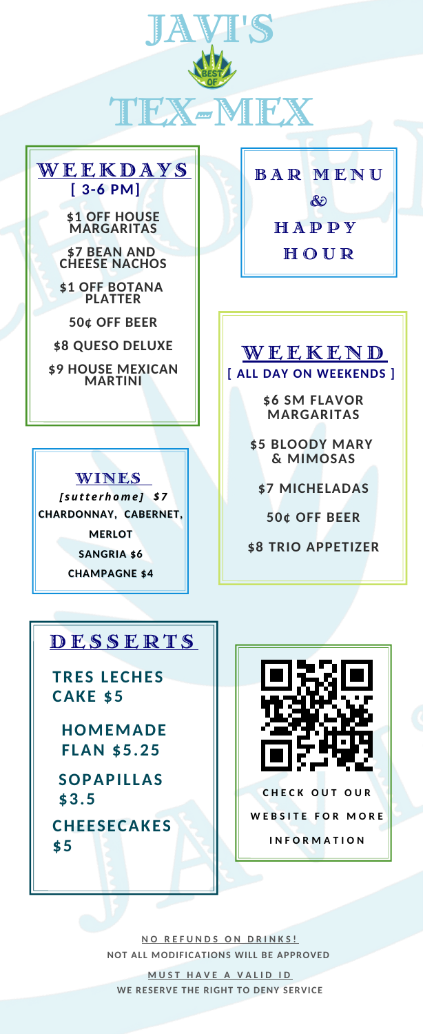



#### **\$1 OFF HOUSE MARGARITAS**

**\$7 BEAN AND CHEESE NACHOS \$1 OFF BOTANA**

**PLATTER 50¢ OFF BEER**

**\$8 QUESO DELUXE \$9 HOUSE MEXICAN**

**MARTINI**



*[ sut t e rho m e ] \$ 7* **CHARDONNAY, CABERNET, MERLOT SANGRIA \$6 CHAMPAGNE \$4**

B A R M E N U & **HAPPY HOUR** 

### **[ ALL DAY ON WEEKENDS ]** W E E K E N D

**\$6 SM FLAVOR MARGARITAS**

**\$5 BLOODY MARY & MIMOSAS**

**\$7 MICHELADAS**

**50¢ OFF BEER**

**\$8 TRIO APPETIZER**

### **DESSERTS**

**TRES LECHES CAKE \$5**

**HOMEMADE FLAN \$5.25**

**SOPAPI L LAS \$3.5**

**CHEESECAKES \$5**



**N O R E F U N D SO N D R I N K S ! NOT ALL MODIFICATIONS WILL BE APPROVED**

**M US T H A V E A V A L I D I D WE RESERVE THE RIGHT TO DENY SERVICE**